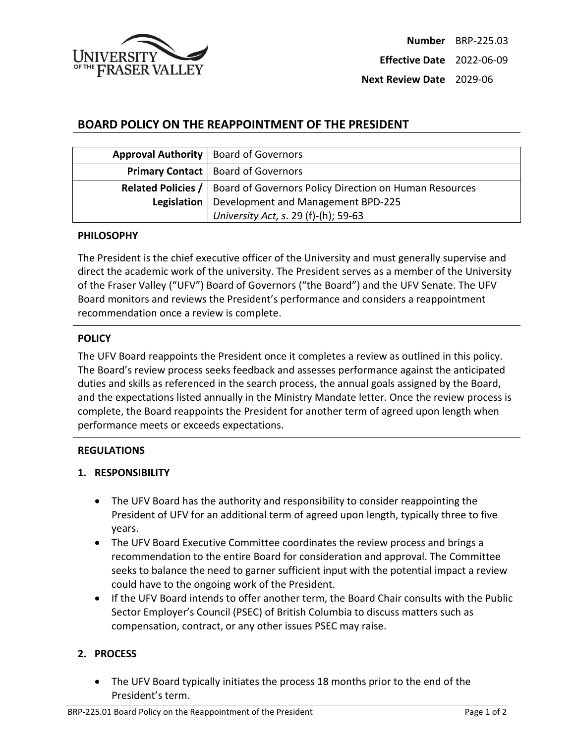

# **BOARD POLICY ON THE REAPPOINTMENT OF THE PRESIDENT**

| Approval Authority   Board of Governors                                            |
|------------------------------------------------------------------------------------|
| <b>Primary Contact   Board of Governors</b>                                        |
| <b>Related Policies /   Board of Governors Policy Direction on Human Resources</b> |
| Legislation   Development and Management BPD-225                                   |
| University Act, s. 29 (f)-(h); 59-63                                               |

#### **PHILOSOPHY**

The President is the chief executive officer of the University and must generally supervise and direct the academic work of the university. The President serves as a member of the University of the Fraser Valley ("UFV") Board of Governors ("the Board") and the UFV Senate. The UFV Board monitors and reviews the President's performance and considers a reappointment recommendation once a review is complete.

### **POLICY**

The UFV Board reappoints the President once it completes a review as outlined in this policy. The Board's review process seeks feedback and assesses performance against the anticipated duties and skills as referenced in the search process, the annual goals assigned by the Board, and the expectations listed annually in the Ministry Mandate letter. Once the review process is complete, the Board reappoints the President for another term of agreed upon length when performance meets or exceeds expectations.

### **REGULATIONS**

### **1. RESPONSIBILITY**

- The UFV Board has the authority and responsibility to consider reappointing the President of UFV for an additional term of agreed upon length, typically three to five years.
- The UFV Board Executive Committee coordinates the review process and brings a recommendation to the entire Board for consideration and approval. The Committee seeks to balance the need to garner sufficient input with the potential impact a review could have to the ongoing work of the President.
- If the UFV Board intends to offer another term, the Board Chair consults with the Public Sector Employer's Council (PSEC) of British Columbia to discuss matters such as compensation, contract, or any other issues PSEC may raise.

## **2. PROCESS**

• The UFV Board typically initiates the process 18 months prior to the end of the President's term.